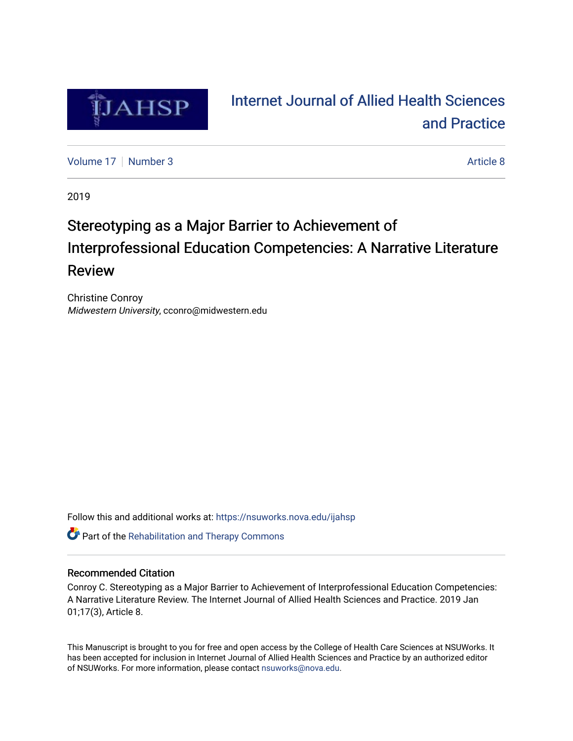

# [Internet Journal of Allied Health Sciences](https://nsuworks.nova.edu/ijahsp)  [and Practice](https://nsuworks.nova.edu/ijahsp)

[Volume 17](https://nsuworks.nova.edu/ijahsp/vol17) | [Number 3](https://nsuworks.nova.edu/ijahsp/vol17/iss3) Article 8

2019

# Stereotyping as a Major Barrier to Achievement of Interprofessional Education Competencies: A Narrative Literature Review

Christine Conroy Midwestern University, cconro@midwestern.edu

Follow this and additional works at: [https://nsuworks.nova.edu/ijahsp](https://nsuworks.nova.edu/ijahsp?utm_source=nsuworks.nova.edu%2Fijahsp%2Fvol17%2Fiss3%2F8&utm_medium=PDF&utm_campaign=PDFCoverPages) 

**C** Part of the Rehabilitation and Therapy Commons

## Recommended Citation

Conroy C. Stereotyping as a Major Barrier to Achievement of Interprofessional Education Competencies: A Narrative Literature Review. The Internet Journal of Allied Health Sciences and Practice. 2019 Jan 01;17(3), Article 8.

This Manuscript is brought to you for free and open access by the College of Health Care Sciences at NSUWorks. It has been accepted for inclusion in Internet Journal of Allied Health Sciences and Practice by an authorized editor of NSUWorks. For more information, please contact [nsuworks@nova.edu.](mailto:nsuworks@nova.edu)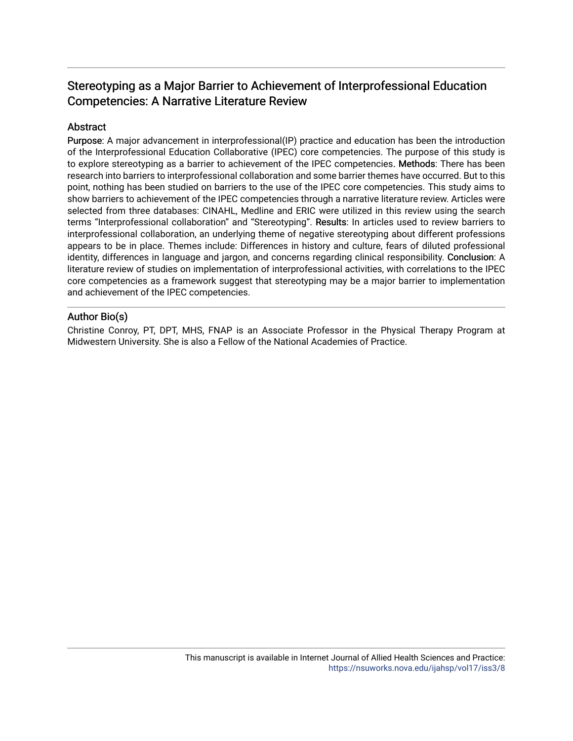## Stereotyping as a Major Barrier to Achievement of Interprofessional Education Competencies: A Narrative Literature Review

## **Abstract**

Purpose: A major advancement in interprofessional(IP) practice and education has been the introduction of the Interprofessional Education Collaborative (IPEC) core competencies. The purpose of this study is to explore stereotyping as a barrier to achievement of the IPEC competencies. Methods: There has been research into barriers to interprofessional collaboration and some barrier themes have occurred. But to this point, nothing has been studied on barriers to the use of the IPEC core competencies. This study aims to show barriers to achievement of the IPEC competencies through a narrative literature review. Articles were selected from three databases: CINAHL, Medline and ERIC were utilized in this review using the search terms "Interprofessional collaboration" and "Stereotyping". Results: In articles used to review barriers to interprofessional collaboration, an underlying theme of negative stereotyping about different professions appears to be in place. Themes include: Differences in history and culture, fears of diluted professional identity, differences in language and jargon, and concerns regarding clinical responsibility. Conclusion: A literature review of studies on implementation of interprofessional activities, with correlations to the IPEC core competencies as a framework suggest that stereotyping may be a major barrier to implementation and achievement of the IPEC competencies.

## Author Bio(s)

Christine Conroy, PT, DPT, MHS, FNAP is an Associate Professor in the Physical Therapy Program at Midwestern University. She is also a Fellow of the National Academies of Practice.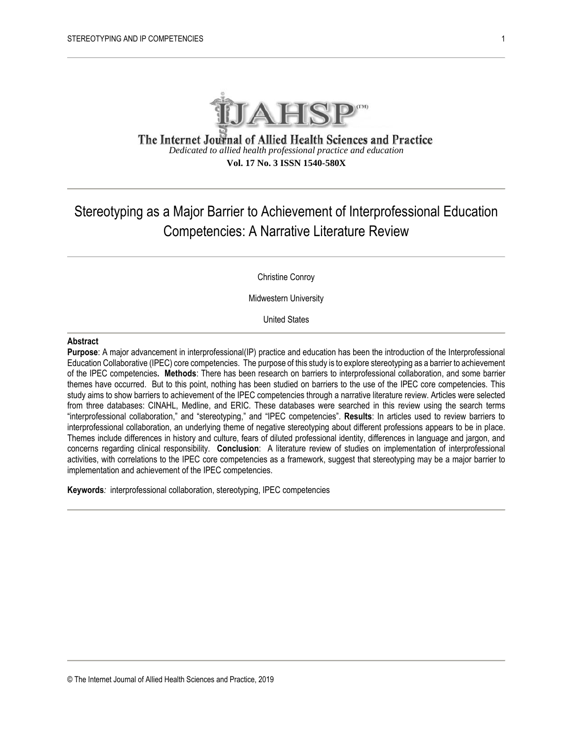

The Internet Journal of Allied Health Sciences and Practice *Dedicated to allied health professional practice and education* **Vol. 17 No. 3 ISSN 1540-580X**

## Stereotyping as a Major Barrier to Achievement of Interprofessional Education Competencies: A Narrative Literature Review

Christine Conroy

Midwestern University

United States

#### **Abstract**

**Purpose**: A major advancement in interprofessional(IP) practice and education has been the introduction of the Interprofessional Education Collaborative (IPEC) core competencies. The purpose of this study is to explore stereotyping as a barrier to achievement of the IPEC competencies**. Methods**: There has been research on barriers to interprofessional collaboration, and some barrier themes have occurred. But to this point, nothing has been studied on barriers to the use of the IPEC core competencies. This study aims to show barriers to achievement of the IPEC competencies through a narrative literature review. Articles were selected from three databases: CINAHL, Medline, and ERIC. These databases were searched in this review using the search terms "interprofessional collaboration," and "stereotyping," and "IPEC competencies". **Results**: In articles used to review barriers to interprofessional collaboration, an underlying theme of negative stereotyping about different professions appears to be in place. Themes include differences in history and culture, fears of diluted professional identity, differences in language and jargon, and concerns regarding clinical responsibility. **Conclusion**: A literature review of studies on implementation of interprofessional activities, with correlations to the IPEC core competencies as a framework, suggest that stereotyping may be a major barrier to implementation and achievement of the IPEC competencies.

**Keywords***:* interprofessional collaboration, stereotyping, IPEC competencies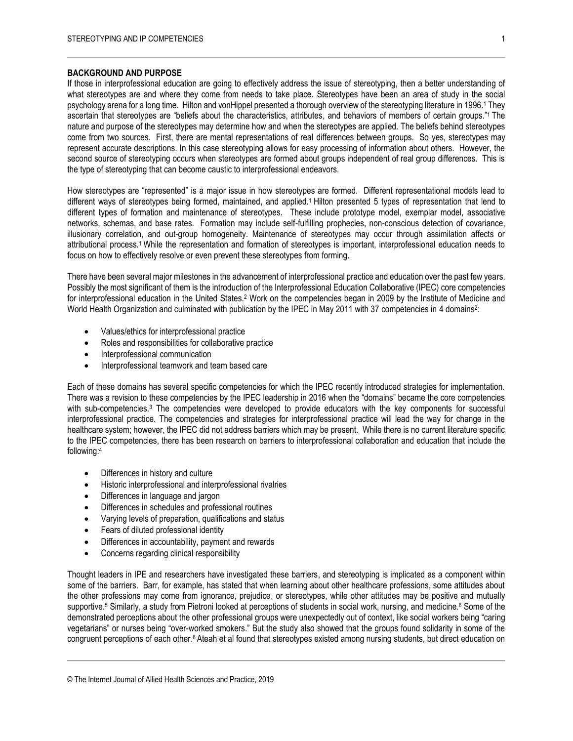#### **BACKGROUND AND PURPOSE**

If those in interprofessional education are going to effectively address the issue of stereotyping, then a better understanding of what stereotypes are and where they come from needs to take place. Stereotypes have been an area of study in the social psychology arena for a long time. Hilton and vonHippel presented a thorough overview of the stereotyping literature in 1996.<sup>1</sup> They ascertain that stereotypes are "beliefs about the characteristics, attributes, and behaviors of members of certain groups."<sup>1</sup> The nature and purpose of the stereotypes may determine how and when the stereotypes are applied. The beliefs behind stereotypes come from two sources. First, there are mental representations of real differences between groups. So yes, stereotypes may represent accurate descriptions. In this case stereotyping allows for easy processing of information about others. However, the second source of stereotyping occurs when stereotypes are formed about groups independent of real group differences. This is the type of stereotyping that can become caustic to interprofessional endeavors.

How stereotypes are "represented" is a major issue in how stereotypes are formed. Different representational models lead to different ways of stereotypes being formed, maintained, and applied.<sup>1</sup> Hilton presented 5 types of representation that lend to different types of formation and maintenance of stereotypes. These include prototype model, exemplar model, associative networks, schemas, and base rates. Formation may include self-fulfilling prophecies, non-conscious detection of covariance, illusionary correlation, and out-group homogeneity. Maintenance of stereotypes may occur through assimilation affects or attributional process.1 While the representation and formation of stereotypes is important, interprofessional education needs to focus on how to effectively resolve or even prevent these stereotypes from forming.

There have been several major milestones in the advancement of interprofessional practice and education over the past few years. Possibly the most significant of them is the introduction of the Interprofessional Education Collaborative (IPEC) core competencies for interprofessional education in the United States.<sup>2</sup> Work on the competencies began in 2009 by the Institute of Medicine and World Health Organization and culminated with publication by the IPEC in May 2011 with 37 competencies in 4 domains<sup>2</sup>:

- Values/ethics for interprofessional practice
- Roles and responsibilities for collaborative practice
- Interprofessional communication
- Interprofessional teamwork and team based care

Each of these domains has several specific competencies for which the IPEC recently introduced strategies for implementation. There was a revision to these competencies by the IPEC leadership in 2016 when the "domains" became the core competencies with sub-competencies.<sup>3</sup> The competencies were developed to provide educators with the key components for successful interprofessional practice. The competencies and strategies for interprofessional practice will lead the way for change in the healthcare system; however, the IPEC did not address barriers which may be present. While there is no current literature specific to the IPEC competencies, there has been research on barriers to interprofessional collaboration and education that include the following:<sup>4</sup>

- Differences in history and culture
- Historic interprofessional and interprofessional rivalries
- Differences in language and jargon
- Differences in schedules and professional routines
- Varying levels of preparation, qualifications and status
- Fears of diluted professional identity
- Differences in accountability, payment and rewards
- Concerns regarding clinical responsibility

Thought leaders in IPE and researchers have investigated these barriers, and stereotyping is implicated as a component within some of the barriers. Barr, for example, has stated that when learning about other healthcare professions, some attitudes about the other professions may come from ignorance, prejudice, or stereotypes, while other attitudes may be positive and mutually supportive.<sup>5</sup> Similarly, a study from Pietroni looked at perceptions of students in social work, nursing, and medicine.<sup>6</sup> Some of the demonstrated perceptions about the other professional groups were unexpectedly out of context, like social workers being "caring vegetarians" or nurses being "over-worked smokers." But the study also showed that the groups found solidarity in some of the congruent perceptions of each other.<sup>6</sup> Ateah et al found that stereotypes existed among nursing students, but direct education on

<sup>©</sup> The Internet Journal of Allied Health Sciences and Practice, 2019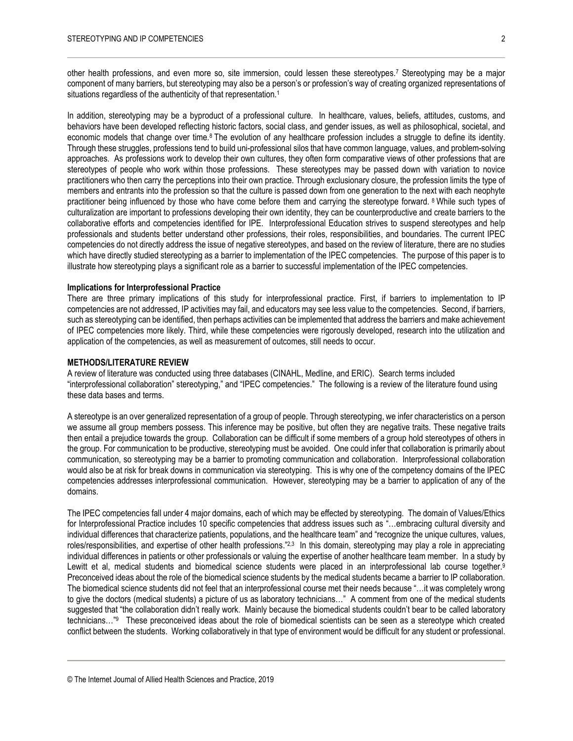other health professions, and even more so, site immersion, could lessen these stereotypes.<sup>7</sup> Stereotyping may be a major component of many barriers, but stereotyping may also be a person's or profession's way of creating organized representations of situations regardless of the authenticity of that representation.<sup>1</sup>

In addition, stereotyping may be a byproduct of a professional culture. In healthcare, values, beliefs, attitudes, customs, and behaviors have been developed reflecting historic factors, social class, and gender issues, as well as philosophical, societal, and economic models that change over time.<sup>8</sup> The evolution of any healthcare profession includes a struggle to define its identity. Through these struggles, professions tend to build uni-professional silos that have common language, values, and problem-solving approaches. As professions work to develop their own cultures, they often form comparative views of other professions that are stereotypes of people who work within those professions. These stereotypes may be passed down with variation to novice practitioners who then carry the perceptions into their own practice. Through exclusionary closure, the profession limits the type of members and entrants into the profession so that the culture is passed down from one generation to the next with each neophyte practitioner being influenced by those who have come before them and carrying the stereotype forward. <sup>8</sup> While such types of culturalization are important to professions developing their own identity, they can be counterproductive and create barriers to the collaborative efforts and competencies identified for IPE. Interprofessional Education strives to suspend stereotypes and help professionals and students better understand other professions, their roles, responsibilities, and boundaries. The current IPEC competencies do not directly address the issue of negative stereotypes, and based on the review of literature, there are no studies which have directly studied stereotyping as a barrier to implementation of the IPEC competencies. The purpose of this paper is to illustrate how stereotyping plays a significant role as a barrier to successful implementation of the IPEC competencies.

#### **Implications for Interprofessional Practice**

There are three primary implications of this study for interprofessional practice. First, if barriers to implementation to IP competencies are not addressed, IP activities may fail, and educators may see less value to the competencies. Second, if barriers, such as stereotyping can be identified, then perhaps activities can be implemented that address the barriers and make achievement of IPEC competencies more likely. Third, while these competencies were rigorously developed, research into the utilization and application of the competencies, as well as measurement of outcomes, still needs to occur.

#### **METHODS/LITERATURE REVIEW**

A review of literature was conducted using three databases (CINAHL, Medline, and ERIC). Search terms included "interprofessional collaboration" stereotyping," and "IPEC competencies." The following is a review of the literature found using these data bases and terms.

A stereotype is an over generalized representation of a group of people. Through stereotyping, we infer characteristics on a person we assume all group members possess. This inference may be positive, but often they are negative traits. These negative traits then entail a prejudice towards the group. Collaboration can be difficult if some members of a group hold stereotypes of others in the group. For communication to be productive, stereotyping must be avoided. One could infer that collaboration is primarily about communication, so stereotyping may be a barrier to promoting communication and collaboration. Interprofessional collaboration would also be at risk for break downs in communication via stereotyping. This is why one of the competency domains of the IPEC competencies addresses interprofessional communication. However, stereotyping may be a barrier to application of any of the domains.

The IPEC competencies fall under 4 major domains, each of which may be effected by stereotyping. The domain of Values/Ethics for Interprofessional Practice includes 10 specific competencies that address issues such as "…embracing cultural diversity and individual differences that characterize patients, populations, and the healthcare team" and "recognize the unique cultures, values, roles/responsibilities, and expertise of other health professions."<sup>2,3</sup> In this domain, stereotyping may play a role in appreciating individual differences in patients or other professionals or valuing the expertise of another healthcare team member. In a study by Lewitt et al, medical students and biomedical science students were placed in an interprofessional lab course together.<sup>9</sup> Preconceived ideas about the role of the biomedical science students by the medical students became a barrier to IP collaboration. The biomedical science students did not feel that an interprofessional course met their needs because "…it was completely wrong to give the doctors (medical students) a picture of us as laboratory technicians…" A comment from one of the medical students suggested that "the collaboration didn't really work. Mainly because the biomedical students couldn't bear to be called laboratory technicians…"9 These preconceived ideas about the role of biomedical scientists can be seen as a stereotype which created conflict between the students. Working collaboratively in that type of environment would be difficult for any student or professional.

<sup>©</sup> The Internet Journal of Allied Health Sciences and Practice, 2019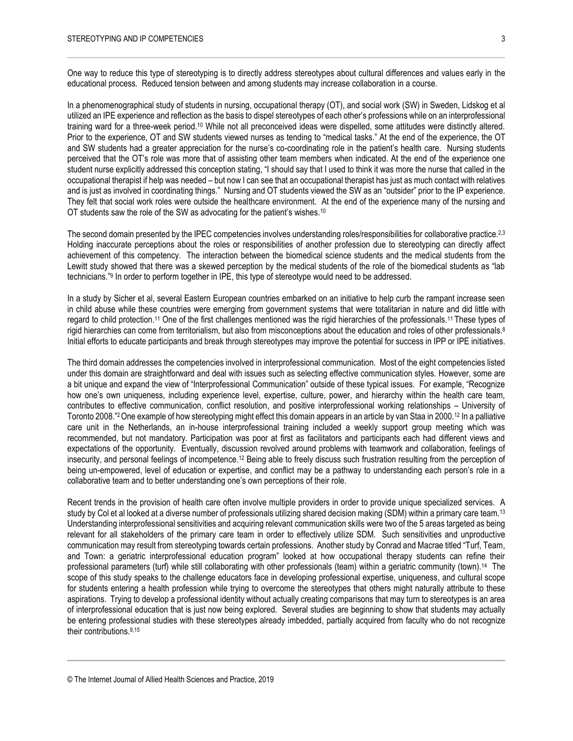One way to reduce this type of stereotyping is to directly address stereotypes about cultural differences and values early in the educational process. Reduced tension between and among students may increase collaboration in a course.

In a phenomenographical study of students in nursing, occupational therapy (OT), and social work (SW) in Sweden, Lidskog et al utilized an IPE experience and reflection as the basis to dispel stereotypes of each other's professions while on an interprofessional training ward for a three-week period.<sup>10</sup> While not all preconceived ideas were dispelled, some attitudes were distinctly altered. Prior to the experience, OT and SW students viewed nurses as tending to "medical tasks." At the end of the experience, the OT and SW students had a greater appreciation for the nurse's co-coordinating role in the patient's health care. Nursing students perceived that the OT's role was more that of assisting other team members when indicated. At the end of the experience one student nurse explicitly addressed this conception stating, "I should say that I used to think it was more the nurse that called in the occupational therapist if help was needed – but now I can see that an occupational therapist has just as much contact with relatives and is just as involved in coordinating things." Nursing and OT students viewed the SW as an "outsider" prior to the IP experience. They felt that social work roles were outside the healthcare environment. At the end of the experience many of the nursing and OT students saw the role of the SW as advocating for the patient's wishes.<sup>10</sup>

The second domain presented by the IPEC competencies involves understanding roles/responsibilities for collaborative practice.<sup>2,3</sup> Holding inaccurate perceptions about the roles or responsibilities of another profession due to stereotyping can directly affect achievement of this competency. The interaction between the biomedical science students and the medical students from the Lewitt study showed that there was a skewed perception by the medical students of the role of the biomedical students as "lab technicians."<sup>9</sup> In order to perform together in IPE, this type of stereotype would need to be addressed.

In a study by Sicher et al, several Eastern European countries embarked on an initiative to help curb the rampant increase seen in child abuse while these countries were emerging from government systems that were totalitarian in nature and did little with regard to child protection.<sup>11</sup> One of the first challenges mentioned was the rigid hierarchies of the professionals.<sup>11</sup> These types of rigid hierarchies can come from territorialism, but also from misconceptions about the education and roles of other professionals.<sup>8</sup> Initial efforts to educate participants and break through stereotypes may improve the potential for success in IPP or IPE initiatives.

The third domain addresses the competencies involved in interprofessional communication. Most of the eight competencies listed under this domain are straightforward and deal with issues such as selecting effective communication styles. However, some are a bit unique and expand the view of "Interprofessional Communication" outside of these typical issues. For example, "Recognize how one's own uniqueness, including experience level, expertise, culture, power, and hierarchy within the health care team, contributes to effective communication, conflict resolution, and positive interprofessional working relationships – University of Toronto 2008."<sup>2</sup> One example of how stereotyping might effect this domain appears in an article by van Staa in 2000.<sup>12</sup> In a palliative care unit in the Netherlands, an in-house interprofessional training included a weekly support group meeting which was recommended, but not mandatory. Participation was poor at first as facilitators and participants each had different views and expectations of the opportunity. Eventually, discussion revolved around problems with teamwork and collaboration, feelings of insecurity, and personal feelings of incompetence.<sup>12</sup> Being able to freely discuss such frustration resulting from the perception of being un-empowered, level of education or expertise, and conflict may be a pathway to understanding each person's role in a collaborative team and to better understanding one's own perceptions of their role.

Recent trends in the provision of health care often involve multiple providers in order to provide unique specialized services. A study by Col et al looked at a diverse number of professionals utilizing shared decision making (SDM) within a primary care team.<sup>13</sup> Understanding interprofessional sensitivities and acquiring relevant communication skills were two of the 5 areas targeted as being relevant for all stakeholders of the primary care team in order to effectively utilize SDM. Such sensitivities and unproductive communication may result from stereotyping towards certain professions. Another study by Conrad and Macrae titled "Turf, Team, and Town: a geriatric interprofessional education program" looked at how occupational therapy students can refine their professional parameters (turf) while still collaborating with other professionals (team) within a geriatric community (town).<sup>14</sup> The scope of this study speaks to the challenge educators face in developing professional expertise, uniqueness, and cultural scope for students entering a health profession while trying to overcome the stereotypes that others might naturally attribute to these aspirations. Trying to develop a professional identity without actually creating comparisons that may turn to stereotypes is an area of interprofessional education that is just now being explored. Several studies are beginning to show that students may actually be entering professional studies with these stereotypes already imbedded, partially acquired from faculty who do not recognize their contributions.9,15

<sup>©</sup> The Internet Journal of Allied Health Sciences and Practice, 2019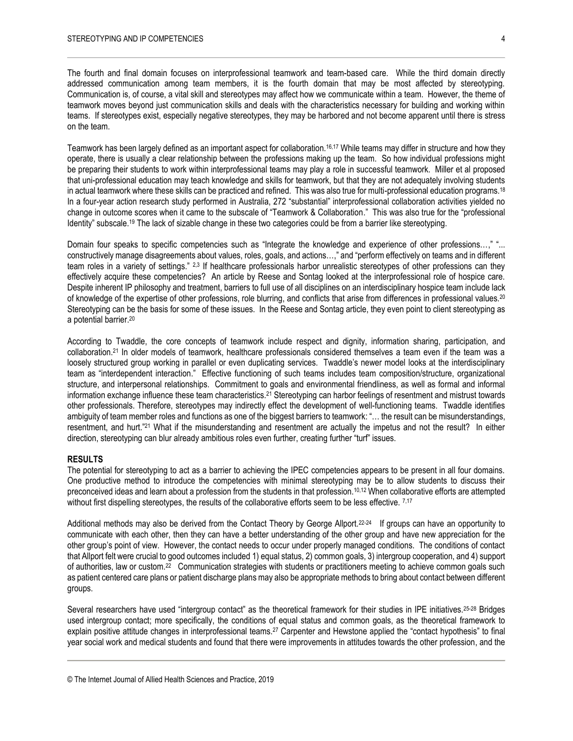The fourth and final domain focuses on interprofessional teamwork and team-based care. While the third domain directly addressed communication among team members, it is the fourth domain that may be most affected by stereotyping. Communication is, of course, a vital skill and stereotypes may affect how we communicate within a team. However, the theme of teamwork moves beyond just communication skills and deals with the characteristics necessary for building and working within teams. If stereotypes exist, especially negative stereotypes, they may be harbored and not become apparent until there is stress on the team.

Teamwork has been largely defined as an important aspect for collaboration.<sup>16,17</sup> While teams may differ in structure and how they operate, there is usually a clear relationship between the professions making up the team. So how individual professions might be preparing their students to work within interprofessional teams may play a role in successful teamwork. Miller et al proposed that uni-professional education may teach knowledge and skills for teamwork, but that they are not adequately involving students in actual teamwork where these skills can be practiced and refined. This was also true for multi-professional education programs.<sup>18</sup> In a four-year action research study performed in Australia, 272 "substantial" interprofessional collaboration activities yielded no change in outcome scores when it came to the subscale of "Teamwork & Collaboration." This was also true for the "professional Identity" subscale.<sup>19</sup> The lack of sizable change in these two categories could be from a barrier like stereotyping.

Domain four speaks to specific competencies such as "Integrate the knowledge and experience of other professions…," "... constructively manage disagreements about values, roles, goals, and actions…," and "perform effectively on teams and in different team roles in a variety of settings." <sup>2,3</sup> If healthcare professionals harbor unrealistic stereotypes of other professions can they effectively acquire these competencies? An article by Reese and Sontag looked at the interprofessional role of hospice care. Despite inherent IP philosophy and treatment, barriers to full use of all disciplines on an interdisciplinary hospice team include lack of knowledge of the expertise of other professions, role blurring, and conflicts that arise from differences in professional values.<sup>20</sup> Stereotyping can be the basis for some of these issues. In the Reese and Sontag article, they even point to client stereotyping as a potential barrier.<sup>20</sup>

According to Twaddle, the core concepts of teamwork include respect and dignity, information sharing, participation, and collaboration.<sup>21</sup> In older models of teamwork, healthcare professionals considered themselves a team even if the team was a loosely structured group working in parallel or even duplicating services. Twaddle's newer model looks at the interdisciplinary team as "interdependent interaction." Effective functioning of such teams includes team composition/structure, organizational structure, and interpersonal relationships. Commitment to goals and environmental friendliness, as well as formal and informal information exchange influence these team characteristics.<sup>21</sup> Stereotyping can harbor feelings of resentment and mistrust towards other professionals. Therefore, stereotypes may indirectly effect the development of well-functioning teams. Twaddle identifies ambiguity of team member roles and functions as one of the biggest barriers to teamwork: "… the result can be misunderstandings, resentment, and hurt."<sup>21</sup> What if the misunderstanding and resentment are actually the impetus and not the result? In either direction, stereotyping can blur already ambitious roles even further, creating further "turf" issues.

#### **RESULTS**

The potential for stereotyping to act as a barrier to achieving the IPEC competencies appears to be present in all four domains. One productive method to introduce the competencies with minimal stereotyping may be to allow students to discuss their preconceived ideas and learn about a profession from the students in that profession.10,12 When collaborative efforts are attempted without first dispelling stereotypes, the results of the collaborative efforts seem to be less effective.  $7,17$ 

Additional methods may also be derived from the Contact Theory by George Allport.<sup>22-24</sup> If groups can have an opportunity to communicate with each other, then they can have a better understanding of the other group and have new appreciation for the other group's point of view. However, the contact needs to occur under properly managed conditions. The conditions of contact that Allport felt were crucial to good outcomes included 1) equal status, 2) common goals, 3) intergroup cooperation, and 4) support of authorities, law or custom.<sup>22</sup> Communication strategies with students or practitioners meeting to achieve common goals such as patient centered care plans or patient discharge plans may also be appropriate methods to bring about contact between different groups.

Several researchers have used "intergroup contact" as the theoretical framework for their studies in IPE initiatives.25-28 Bridges used intergroup contact; more specifically, the conditions of equal status and common goals, as the theoretical framework to explain positive attitude changes in interprofessional teams.<sup>27</sup> Carpenter and Hewstone applied the "contact hypothesis" to final year social work and medical students and found that there were improvements in attitudes towards the other profession, and the

<sup>©</sup> The Internet Journal of Allied Health Sciences and Practice, 2019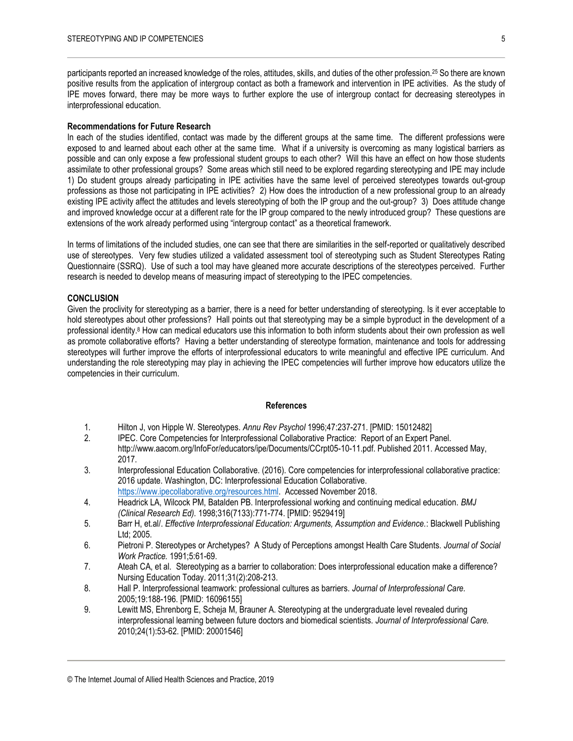participants reported an increased knowledge of the roles, attitudes, skills, and duties of the other profession.<sup>25</sup> So there are known positive results from the application of intergroup contact as both a framework and intervention in IPE activities. As the study of IPE moves forward, there may be more ways to further explore the use of intergroup contact for decreasing stereotypes in interprofessional education.

#### **Recommendations for Future Research**

In each of the studies identified, contact was made by the different groups at the same time. The different professions were exposed to and learned about each other at the same time. What if a university is overcoming as many logistical barriers as possible and can only expose a few professional student groups to each other? Will this have an effect on how those students assimilate to other professional groups? Some areas which still need to be explored regarding stereotyping and IPE may include 1) Do student groups already participating in IPE activities have the same level of perceived stereotypes towards out-group professions as those not participating in IPE activities? 2) How does the introduction of a new professional group to an already existing IPE activity affect the attitudes and levels stereotyping of both the IP group and the out-group? 3) Does attitude change and improved knowledge occur at a different rate for the IP group compared to the newly introduced group? These questions are extensions of the work already performed using "intergroup contact" as a theoretical framework.

In terms of limitations of the included studies, one can see that there are similarities in the self-reported or qualitatively described use of stereotypes. Very few studies utilized a validated assessment tool of stereotyping such as Student Stereotypes Rating Questionnaire (SSRQ). Use of such a tool may have gleaned more accurate descriptions of the stereotypes perceived. Further research is needed to develop means of measuring impact of stereotyping to the IPEC competencies.

#### **CONCLUSION**

Given the proclivity for stereotyping as a barrier, there is a need for better understanding of stereotyping. Is it ever acceptable to hold stereotypes about other professions? Hall points out that stereotyping may be a simple byproduct in the development of a professional identity.<sup>8</sup> How can medical educators use this information to both inform students about their own profession as well as promote collaborative efforts? Having a better understanding of stereotype formation, maintenance and tools for addressing stereotypes will further improve the efforts of interprofessional educators to write meaningful and effective IPE curriculum. And understanding the role stereotyping may play in achieving the IPEC competencies will further improve how educators utilize the competencies in their curriculum.

#### **References**

- 1. Hilton J, von Hipple W. Stereotypes. *Annu Rev Psychol* 1996;47:237-271. [PMID: 15012482]
- 2. IPEC. Core Competencies for Interprofessional Collaborative Practice: Report of an Expert Panel. http://www.aacom.org/InfoFor/educators/ipe/Documents/CCrpt05-10-11.pdf. Published 2011. Accessed May, 2017.
- 3. Interprofessional Education Collaborative. (2016). Core competencies for interprofessional collaborative practice: 2016 update. Washington, DC: Interprofessional Education Collaborative.
- [https://www.ipecollaborative.org/resources.html.](https://www.ipecollaborative.org/resources.html) Accessed November 2018.
- 4. Headrick LA, Wilcock PM, Batalden PB. Interprofessional working and continuing medical education. *BMJ (Clinical Research Ed).* 1998;316(7133):771-774. [PMID: 9529419]
- 5. Barr H, et.al/. *Effective Interprofessional Education: Arguments, Assumption and Evidence.*: Blackwell Publishing Ltd; 2005.
- 6. Pietroni P. Stereotypes or Archetypes? A Study of Perceptions amongst Health Care Students. *Journal of Social Work Practice.* 1991;5:61-69.
- 7. Ateah CA, et al. Stereotyping as a barrier to collaboration: Does interprofessional education make a difference? Nursing Education Today. 2011;31(2):208-213.
- 8. Hall P. Interprofessional teamwork: professional cultures as barriers. *Journal of Interprofessional Care.*  2005;19:188-196. [PMID: 16096155]
- 9. Lewitt MS, Ehrenborg E, Scheja M, Brauner A. Stereotyping at the undergraduate level revealed during interprofessional learning between future doctors and biomedical scientists. *Journal of Interprofessional Care.*  2010;24(1):53-62. [PMID: 20001546]

<sup>©</sup> The Internet Journal of Allied Health Sciences and Practice, 2019